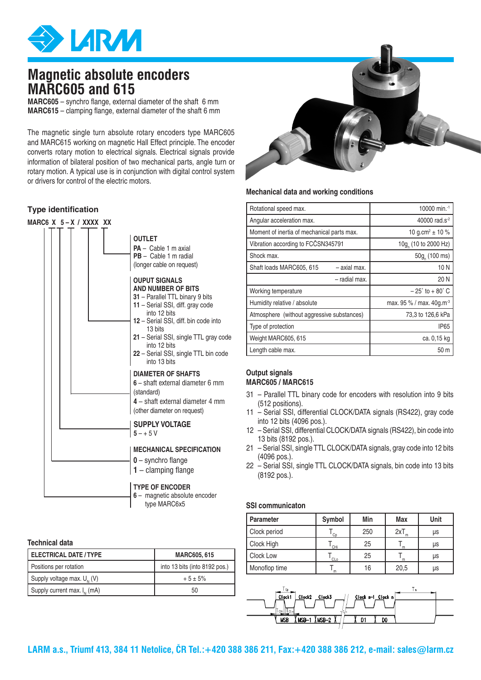

## **Magnetic absolute encoders MARC605 and 615**

**MARC605** – synchro flange, external diameter of the shaft 6 mm **MARC615** – clamping flange, external diameter of the shaft 6 mm

The magnetic single turn absolute rotary encoders type MARC605 and MARC615 working on magnetic Hall Effect principle. The encoder converts rotary motion to electrical signals. Electrical signals provide information of bilateral position of two mechanical parts, angle turn or rotary motion. A typical use is in conjunction with digital control system or drivers for control of the electric motors.

## **Type identification**



## **Technical data**

| <b>ELECTRICAL DATE / TYPE</b>    | <b>MARC605, 615</b>           |  |  |
|----------------------------------|-------------------------------|--|--|
| Positions per rotation           | into 13 bits (into 8192 pos.) |  |  |
| Supply voltage max. $U_{N}$ (V)  | $+5 \pm 5\%$                  |  |  |
| Supply current max. $I_{N}$ (mA) | 50                            |  |  |



## **Mechanical data and working conditions**

| Rotational speed max.                      | 10000 min. <sup>-1</sup>             |  |
|--------------------------------------------|--------------------------------------|--|
| Angular acceleration max.                  | 40000 rad.s <sup>-2</sup>            |  |
| Moment of inertia of mechanical parts max. | 10 g.cm <sup>2</sup> $\pm$ 10 %      |  |
| Vibration according to FCČSN345791         | 10g <sub>,</sub> (10 to 2000 Hz)     |  |
| Shock max.                                 | 50g (100 ms)                         |  |
| - axial max.<br>Shaft loads MARC605, 615   | 10N                                  |  |
| - radial max.                              | 20 N                                 |  |
| Working temperature                        | $-25^{\circ}$ to $+80^{\circ}$ C     |  |
| Humidity relative / absolute               | max. 95 % / max. 40g.m <sup>-3</sup> |  |
| Atmosphere (without aggressive substances) | 73,3 to 126,6 kPa                    |  |
| Type of protection                         | <b>IP65</b>                          |  |
| Weight MARC605, 615                        | ca. 0,15 kg                          |  |
| Length cable max.                          | 50 m                                 |  |

## **Output signals MARC605 / MARC615**

- 31 Parallel TTL binary code for encoders with resolution into 9 bits (512 positions).
- 11 Serial SSI, differential CLOCK/DATA signals (RS422), gray code into 12 bits (4096 pos.).
- 12 Serial SSI, differential CLOCK/DATA signals (RS422), bin code into 13 bits (8192 pos.).
- 21 Serial SSI, single TTL CLOCK/DATA signals, gray code into 12 bits (4096 pos.).
- 22 Serial SSI, single TTL CLOCK/DATA signals, bin code into 13 bits (8192 pos.).

## **SSI communicaton**

| <b>Parameter</b> | Symbol | Min | <b>Max</b> | Unit |
|------------------|--------|-----|------------|------|
| Clock period     | Cp     | 250 | 2xT        | μs   |
| Clock High       | CHi    | 25  | m          | μs   |
| Clock Low        | CLo    | 25  | m          | μs   |
| Monoflop time    | m      | 16  | 20,5       | μs   |